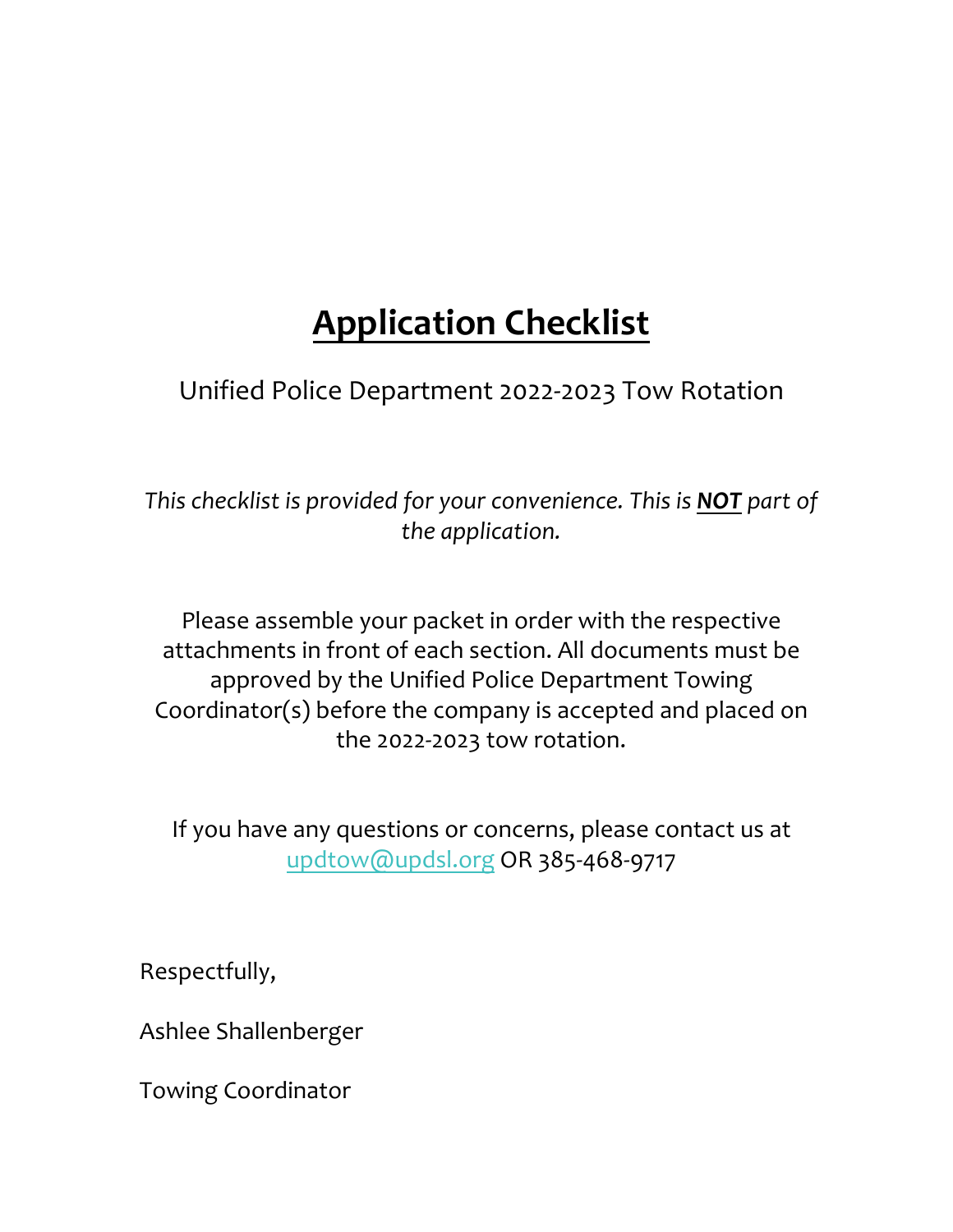# **Application Checklist**

Unified Police Department 2022-2023 Tow Rotation

*This checklist is provided for your convenience. This is NOT part of the application.* 

Please assemble your packet in order with the respective attachments in front of each section. All documents must be approved by the Unified Police Department Towing Coordinator(s) before the company is accepted and placed on the 2022-2023 tow rotation.

If you have any questions or concerns, please contact us at updtow@updsl.org OR 385-468-9717

Respectfully,

Ashlee Shallenberger

Towing Coordinator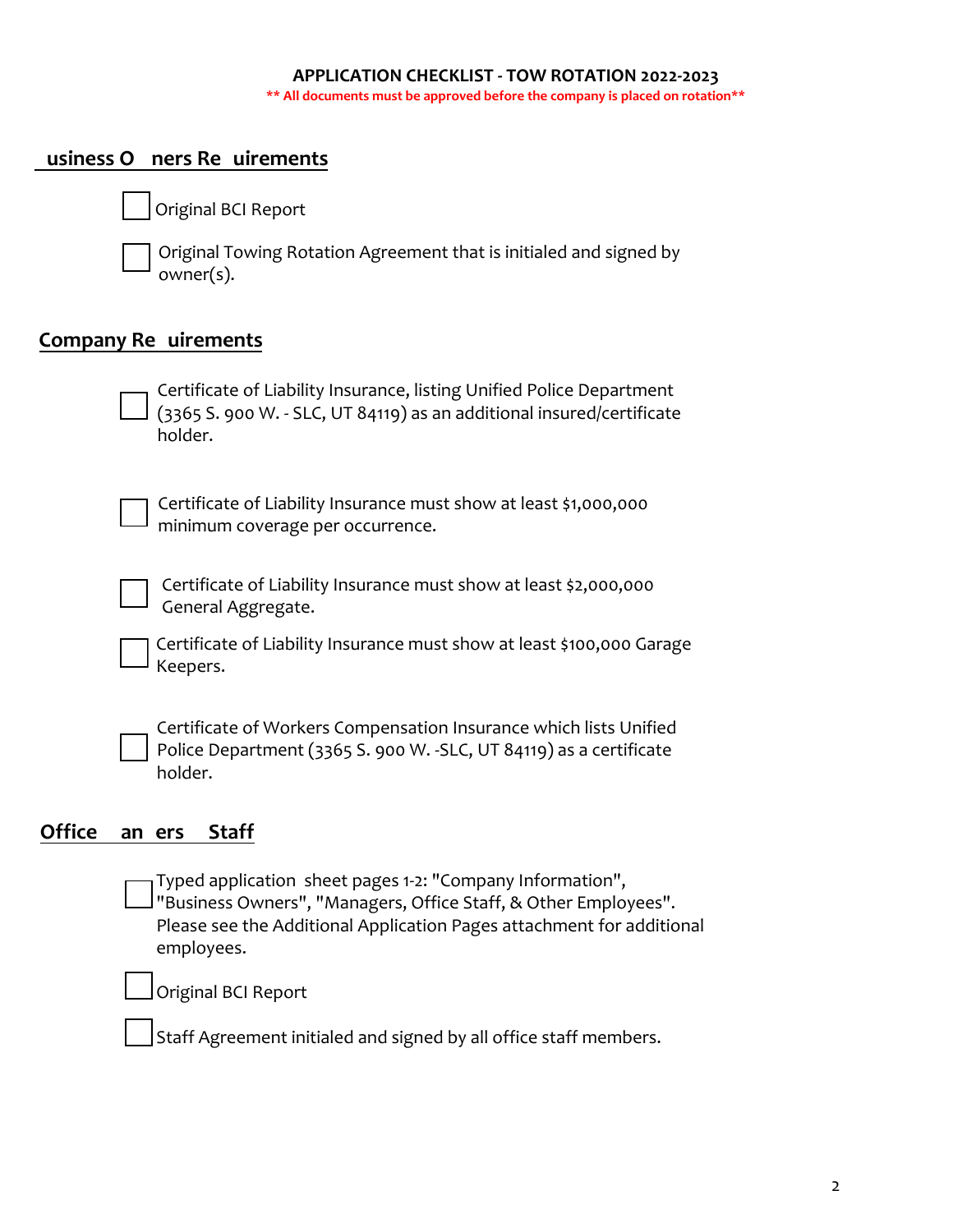#### **APPLICATION CHECKLIST - TOW ROTATION 2022-2023 \*\* All documents must be approved before the company is placed on rotation\*\***

## **usiness O** ners Re uirements

Original BCI Report

Original Towing Rotation Agreement that is initialed and signed by owner(s).

## **Company Re uirements**

Certificate of Liability Insurance, listing Unified Police Department (3365 S. 900 W. - SLC, UT 84119) as an additional insured/certificate holder.

Certificate of Liability Insurance must show at least \$1,000,000 minimum coverage per occurrence.

Certificate of Liability Insurance must show at least \$2,000,000 General Aggregate.

Certificate of Liability Insurance must show at least \$100,000 Garage Keepers.

Certificate of Workers Compensation Insurance which lists Unified Police Department (3365 S. 900 W. -SLC, UT 84119) as a certificate holder.

## Office an ers Staff

Typed application sheet pages 1-2: "Company Information", "Business Owners", "Managers, Office Staff, & Other Employees". Please see the Additional Application Pages attachment for additional employees.

Original BCI Report

Staff Agreement initialed and signed by all office staff members.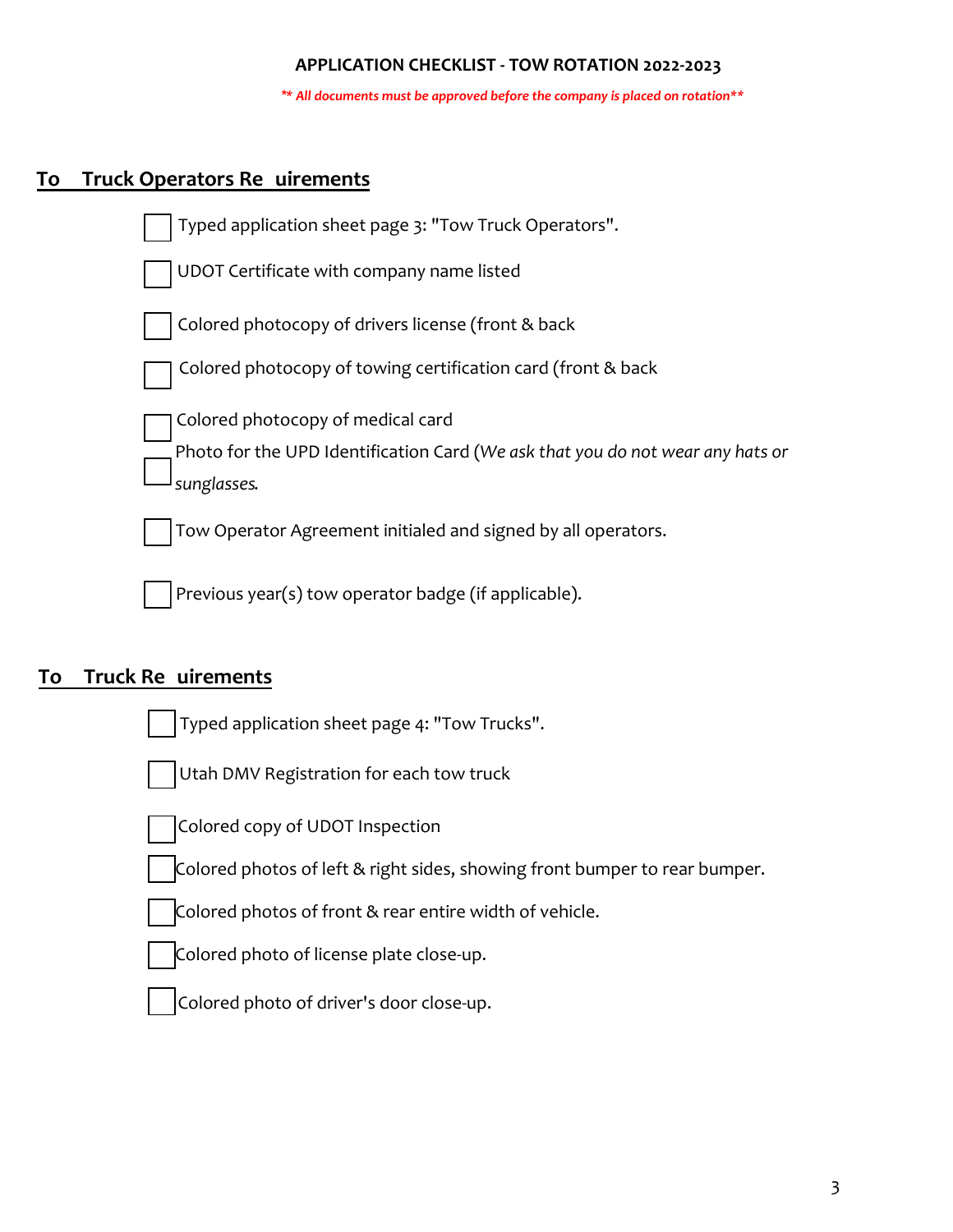#### **APPLICATION CHECKLIST - TOW ROTATION 2022-2023**

*\*\* All documents must be approved before the company is placed on rotation\*\**

## **To Truck Operators Requirements**



## **To** Truck Re uirements

|  | Typed application sheet page 4: "Tow Trucks". |
|--|-----------------------------------------------|
|  |                                               |

Utah DMV Registration for each tow truck



Colored copy of UDOT Inspection

Colored photos of left & right sides, showing front bumper to rear bumper.

Colored photos of front & rear entire width of vehicle.

Colored photo of license plate close-up.



Colored photo of driver's door close-up.